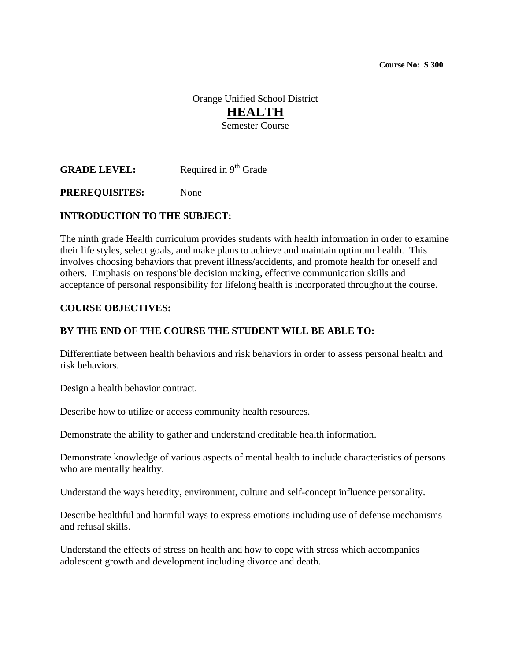**Course No: S 300** 

Orange Unified School District **HEALTH** Semester Course

**GRADE LEVEL:** Required in 9<sup>th</sup> Grade

**PREREQUISITES:** None

### **INTRODUCTION TO THE SUBJECT:**

The ninth grade Health curriculum provides students with health information in order to examine their life styles, select goals, and make plans to achieve and maintain optimum health. This involves choosing behaviors that prevent illness/accidents, and promote health for oneself and others. Emphasis on responsible decision making, effective communication skills and acceptance of personal responsibility for lifelong health is incorporated throughout the course.

#### **COURSE OBJECTIVES:**

#### **BY THE END OF THE COURSE THE STUDENT WILL BE ABLE TO:**

Differentiate between health behaviors and risk behaviors in order to assess personal health and risk behaviors.

Design a health behavior contract.

Describe how to utilize or access community health resources.

Demonstrate the ability to gather and understand creditable health information.

Demonstrate knowledge of various aspects of mental health to include characteristics of persons who are mentally healthy.

Understand the ways heredity, environment, culture and self-concept influence personality.

Describe healthful and harmful ways to express emotions including use of defense mechanisms and refusal skills.

Understand the effects of stress on health and how to cope with stress which accompanies adolescent growth and development including divorce and death.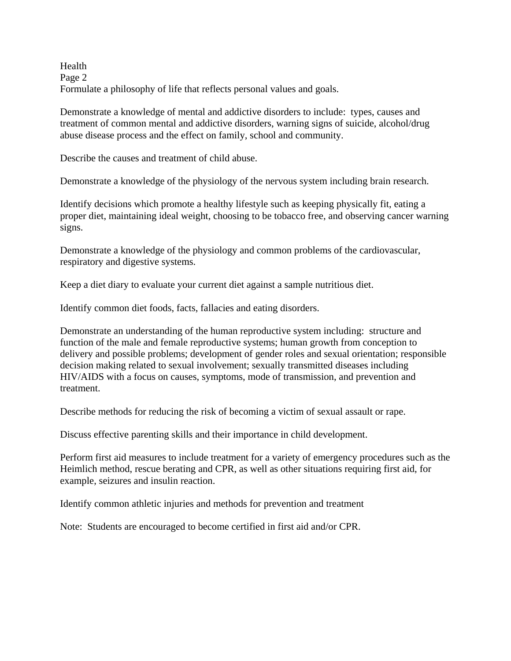Health Page 2 Formulate a philosophy of life that reflects personal values and goals.

Demonstrate a knowledge of mental and addictive disorders to include: types, causes and treatment of common mental and addictive disorders, warning signs of suicide, alcohol/drug abuse disease process and the effect on family, school and community.

Describe the causes and treatment of child abuse.

Demonstrate a knowledge of the physiology of the nervous system including brain research.

Identify decisions which promote a healthy lifestyle such as keeping physically fit, eating a proper diet, maintaining ideal weight, choosing to be tobacco free, and observing cancer warning signs.

Demonstrate a knowledge of the physiology and common problems of the cardiovascular, respiratory and digestive systems.

Keep a diet diary to evaluate your current diet against a sample nutritious diet.

Identify common diet foods, facts, fallacies and eating disorders.

Demonstrate an understanding of the human reproductive system including: structure and function of the male and female reproductive systems; human growth from conception to delivery and possible problems; development of gender roles and sexual orientation; responsible decision making related to sexual involvement; sexually transmitted diseases including HIV/AIDS with a focus on causes, symptoms, mode of transmission, and prevention and treatment.

Describe methods for reducing the risk of becoming a victim of sexual assault or rape.

Discuss effective parenting skills and their importance in child development.

Perform first aid measures to include treatment for a variety of emergency procedures such as the Heimlich method, rescue berating and CPR, as well as other situations requiring first aid, for example, seizures and insulin reaction.

Identify common athletic injuries and methods for prevention and treatment

Note: Students are encouraged to become certified in first aid and/or CPR.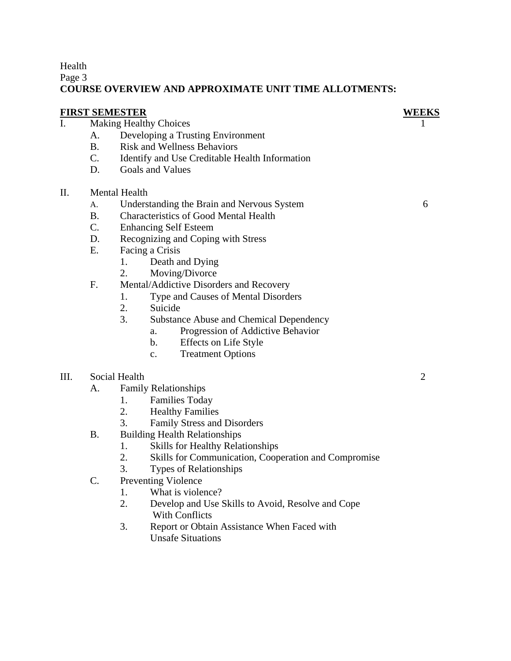Health

Page 3

## **COURSE OVERVIEW AND APPROXIMATE UNIT TIME ALLOTMENTS:**

| <b>FIRST SEMESTER</b> |                |                                                            | WEEKS          |
|-----------------------|----------------|------------------------------------------------------------|----------------|
| $\mathbf{I}$ .        |                | <b>Making Healthy Choices</b>                              |                |
|                       | A.             | Developing a Trusting Environment                          |                |
|                       | <b>B.</b>      | <b>Risk and Wellness Behaviors</b>                         |                |
|                       | $C_{\cdot}$    | Identify and Use Creditable Health Information             |                |
|                       | D.             | Goals and Values                                           |                |
| Π.                    |                | <b>Mental Health</b>                                       |                |
|                       | A.             | Understanding the Brain and Nervous System                 | 6              |
|                       | B <sub>1</sub> | <b>Characteristics of Good Mental Health</b>               |                |
|                       | $C_{\cdot}$    | <b>Enhancing Self Esteem</b>                               |                |
|                       | D.             | Recognizing and Coping with Stress                         |                |
|                       | E.             | Facing a Crisis                                            |                |
|                       |                | Death and Dying<br>1.                                      |                |
|                       |                | 2.<br>Moving/Divorce                                       |                |
|                       | F.             | Mental/Addictive Disorders and Recovery                    |                |
|                       |                | 1.<br>Type and Causes of Mental Disorders                  |                |
|                       |                | 2.<br>Suicide                                              |                |
|                       |                | 3.<br><b>Substance Abuse and Chemical Dependency</b>       |                |
|                       |                | Progression of Addictive Behavior<br>a.                    |                |
|                       |                | Effects on Life Style<br>$\mathbf{b}$ .                    |                |
|                       |                | <b>Treatment Options</b><br>$\mathbf{c}$ .                 |                |
| III.                  |                | Social Health                                              | $\overline{2}$ |
|                       | A.             | <b>Family Relationships</b>                                |                |
|                       |                | <b>Families Today</b><br>1.                                |                |
|                       |                | 2.<br><b>Healthy Families</b>                              |                |
|                       |                | 3.<br>Family Stress and Disorders                          |                |
|                       | <b>B.</b>      | <b>Building Health Relationships</b>                       |                |
|                       |                | <b>Skills for Healthy Relationships</b><br>1.              |                |
|                       |                | 2.<br>Skills for Communication, Cooperation and Compromise |                |
|                       |                | 3.<br>Types of Relationships                               |                |
|                       | C.             | <b>Preventing Violence</b>                                 |                |
|                       |                | 1.<br>What is violence?                                    |                |
|                       |                | 2.<br>Develop and Use Skills to Avoid, Resolve and Cope    |                |
|                       |                | With Conflicts                                             |                |

3. Report or Obtain Assistance When Faced with Unsafe Situations